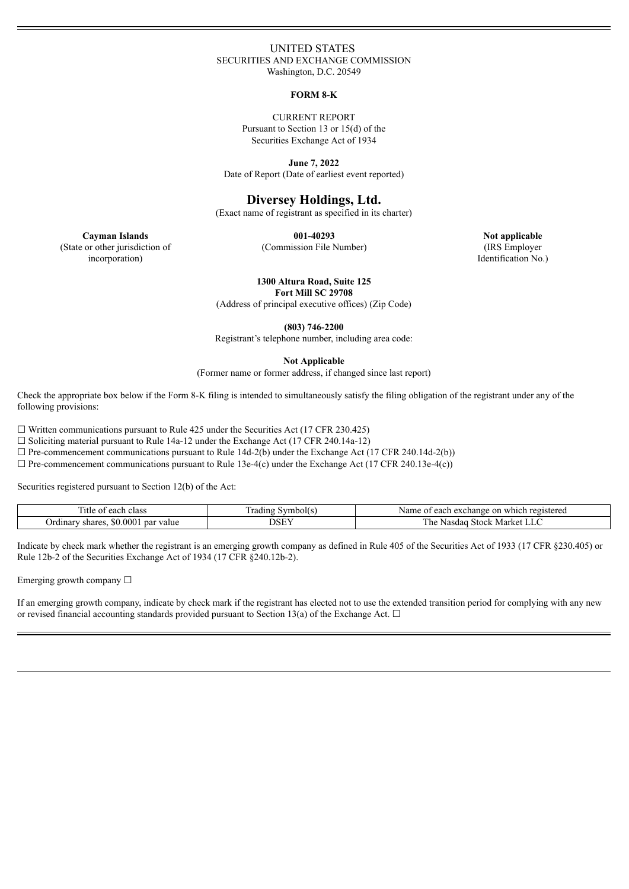### UNITED STATES SECURITIES AND EXCHANGE COMMISSION Washington, D.C. 20549

#### **FORM 8-K**

CURRENT REPORT Pursuant to Section 13 or 15(d) of the Securities Exchange Act of 1934

**June 7, 2022** Date of Report (Date of earliest event reported)

# **Diversey Holdings, Ltd.**

(Exact name of registrant as specified in its charter)

**001-40293**

**Cayman Islands** (State or other jurisdiction of incorporation)

(Commission File Number)

**Not applicable** (IRS Employer Identification No.)

**1300 Altura Road, Suite 125 Fort Mill SC 29708**

(Address of principal executive offices) (Zip Code)

**(803) 746-2200**

Registrant's telephone number, including area code:

**Not Applicable**

(Former name or former address, if changed since last report)

Check the appropriate box below if the Form 8-K filing is intended to simultaneously satisfy the filing obligation of the registrant under any of the following provisions:

 $\Box$  Written communications pursuant to Rule 425 under the Securities Act (17 CFR 230.425)

 $\Box$  Soliciting material pursuant to Rule 14a-12 under the Exchange Act (17 CFR 240.14a-12)

 $\Box$  Pre-commencement communications pursuant to Rule 14d-2(b) under the Exchange Act (17 CFR 240.14d-2(b))

 $\Box$  Pre-commencement communications pursuant to Rule 13e-4(c) under the Exchange Act (17 CFR 240.13e-4(c))

Securities registered pursuant to Section 12(b) of the Act:

| 11tle<br>class<br>egoh<br>ΩT<br>∙ ∈acı.          | $\sim$<br>∀mbol(s<br>rading | registered<br>Name<br>exchange<br>egob<br>on<br>which<br>Cacil |
|--------------------------------------------------|-----------------------------|----------------------------------------------------------------|
| .000.<br>shares.<br>par value<br>Jrdinarv<br>.NU | <b>DCEV</b><br>OOL          | --<br>Market<br>l he<br>Nasdag<br><b>Stock</b><br>بالباط       |

Indicate by check mark whether the registrant is an emerging growth company as defined in Rule 405 of the Securities Act of 1933 (17 CFR §230.405) or Rule 12b-2 of the Securities Exchange Act of 1934 (17 CFR §240.12b-2).

Emerging growth company  $\Box$ 

If an emerging growth company, indicate by check mark if the registrant has elected not to use the extended transition period for complying with any new or revised financial accounting standards provided pursuant to Section 13(a) of the Exchange Act.  $\Box$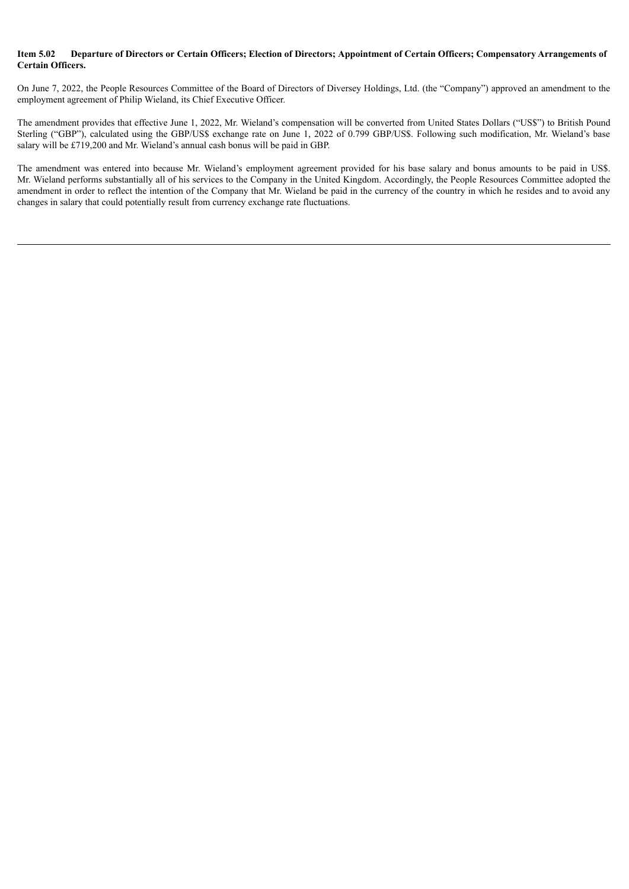## Item 5.02 Departure of Directors or Certain Officers: Election of Directors: Appointment of Certain Officers: Compensatory Arrangements of **Certain Officers.**

On June 7, 2022, the People Resources Committee of the Board of Directors of Diversey Holdings, Ltd. (the "Company") approved an amendment to the employment agreement of Philip Wieland, its Chief Executive Officer.

The amendment provides that effective June 1, 2022, Mr. Wieland's compensation will be converted from United States Dollars ("US\$") to British Pound Sterling ("GBP"), calculated using the GBP/US\$ exchange rate on June 1, 2022 of 0.799 GBP/US\$. Following such modification, Mr. Wieland's base salary will be £719,200 and Mr. Wieland's annual cash bonus will be paid in GBP.

The amendment was entered into because Mr. Wieland's employment agreement provided for his base salary and bonus amounts to be paid in US\$. Mr. Wieland performs substantially all of his services to the Company in the United Kingdom. Accordingly, the People Resources Committee adopted the amendment in order to reflect the intention of the Company that  $\overline{Mr}$ . Wieland be paid in the currency of the country in which he resides and to avoid any changes in salary that could potentially result from currency exchange rate fluctuations.